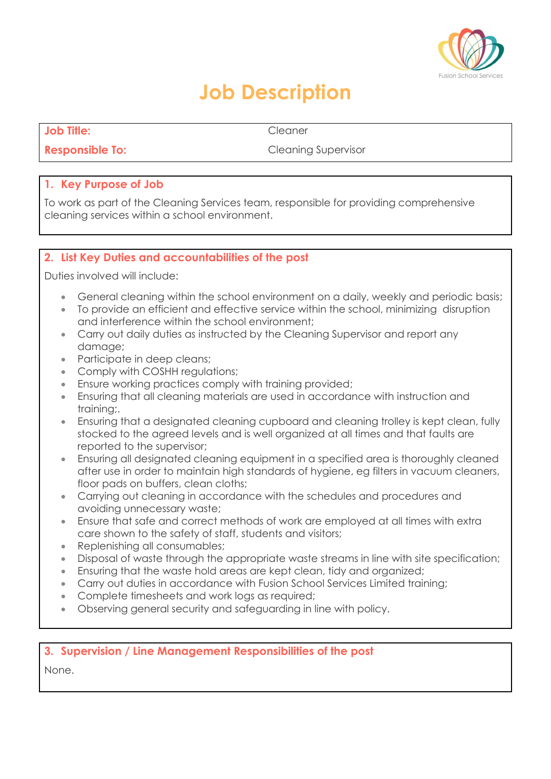

## **Job Description**

**Job Title:** Cleaner

**Responsible To: Cleaning Supervisor** 

#### **1. Key Purpose of Job**

To work as part of the Cleaning Services team, responsible for providing comprehensive cleaning services within a school environment.

### **2. List Key Duties and accountabilities of the post**

Duties involved will include:

- General cleaning within the school environment on a daily, weekly and periodic basis;
- To provide an efficient and effective service within the school, minimizing disruption and interference within the school environment;
- Carry out daily duties as instructed by the Cleaning Supervisor and report any damage;
- Participate in deep cleans;
- Comply with COSHH requlations;
- **Ensure working practices comply with training provided;**
- Ensuring that all cleaning materials are used in accordance with instruction and training;.
- Ensuring that a designated cleaning cupboard and cleaning trolley is kept clean, fully stocked to the agreed levels and is well organized at all times and that faults are reported to the supervisor;
- Ensuring all designated cleaning equipment in a specified area is thoroughly cleaned after use in order to maintain high standards of hygiene, eg filters in vacuum cleaners, floor pads on buffers, clean cloths;
- Carrying out cleaning in accordance with the schedules and procedures and avoiding unnecessary waste;
- Ensure that safe and correct methods of work are employed at all times with extra care shown to the safety of staff, students and visitors;
- Replenishing all consumables;
- Disposal of waste through the appropriate waste streams in line with site specification;
- Ensuring that the waste hold areas are kept clean, tidy and organized;
- Carry out duties in accordance with Fusion School Services Limited training;
- Complete timesheets and work logs as required;
- Observing general security and safeguarding in line with policy.

#### **3. Supervision / Line Management Responsibilities of the post**

None.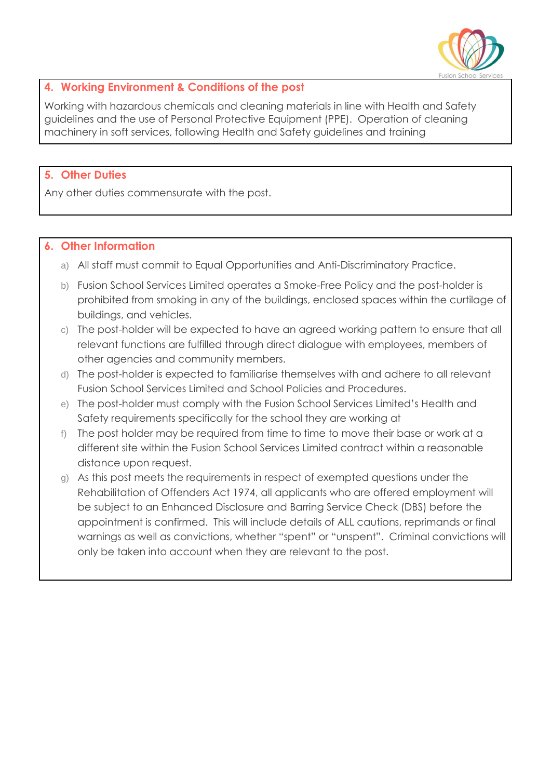

### **4. Working Environment & Conditions of the post**

Working with hazardous chemicals and cleaning materials in line with Health and Safety guidelines and the use of Personal Protective Equipment (PPE). Operation of cleaning machinery in soft services, following Health and Safety guidelines and training

#### **5. Other Duties**

Any other duties commensurate with the post.

#### **6. Other Information**

- a) All staff must commit to Equal Opportunities and Anti-Discriminatory Practice.
- b) Fusion School Services Limited operates a Smoke-Free Policy and the post-holder is prohibited from smoking in any of the buildings, enclosed spaces within the curtilage of buildings, and vehicles.
- c) The post-holder will be expected to have an agreed working pattern to ensure that all relevant functions are fulfilled through direct dialogue with employees, members of other agencies and community members.
- d) The post-holder is expected to familiarise themselves with and adhere to all relevant Fusion School Services Limited and School Policies and Procedures.
- e) The post-holder must comply with the Fusion School Services Limited's Health and Safety requirements specifically for the school they are working at
- f) The post holder may be required from time to time to move their base or work at a different site within the Fusion School Services Limited contract within a reasonable distance upon request.
- g) As this post meets the requirements in respect of exempted questions under the Rehabilitation of Offenders Act 1974, all applicants who are offered employment will be subject to an Enhanced Disclosure and Barring Service Check (DBS) before the appointment is confirmed. This will include details of ALL cautions, reprimands or final warnings as well as convictions, whether "spent" or "unspent". Criminal convictions will only be taken into account when they are relevant to the post.